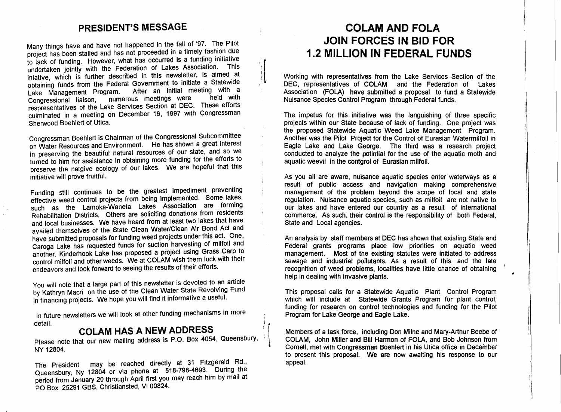#### **PRESIDENT'S MESSAGE**

Many things have and have not happened in the fall of '97. The Pilot project has been stalled and has not proceeded in a timely fashion due to lack of funding. However, what has occurred is a funding initiative undertaken jointly with the Federation of Lakes Association. This iniative, which is further described in this newsletter, is aimed at obtaining funds from the Federal Government to initiate a Statewide Lake Management Program. After an initial meeting with a Congressional liaison, numerous meetings were respresentatives of the Lake Services Section at DEC. These efforts culminated in a meeting on December 16, 1997 with Congressman Sherwood Boehlert of Utica.

Congressman Boehlert is Chairman of the Congressional Subcommittee on Water Resources and Environment. He has shown a great interest in preserving the beautiful natural resources of our state, and so we turned to him for assistance in obtaining more funding for the efforts to preserve the natgive ecology of our lakes. We are hopeful that this initiative will prove fruitful.

Funding still continues to be the greatest impediment preventing effective weed control projects from being implemented. Some lakes, such as the Lamoka-Waneta Lakes Association are forming Rehabilitation Districts. Others are soliciting donations from residents and local businesses. We have heard from at least two lakes that have availed themselves of the State Clean Water/Clean Air Bond Act and have submitted proposals for funding weed projects under this act. One, Caroga Lake has requested funds for suction harvesting of milfoil and another, Kinderhook Lake has proposed a project using Grass Carp to control milfoil and other weeds. We at COLAM wish them luck with their endeavors and look forward to seeing the results of their efforts.

You will note that a large part of this newsletter is devoted to an article by Kathryn Macri on the use of the Clean Water State Revolving Fund in financing projects. We hope you will find it informative a useful.

In future newsletters we will look at other funding mechanisms in more detail.

# **COLAM HAS A NEW ADDRESS**

Please note that our new mailing address is P.O. Box 4054, Queensbury, NY 12804.

The President may be reached directly at 31 Fitzgerald Rd., Queensbury, Ny 12804 or via phone at 518-798-4693. During the period from January 20 through April first you may reach him by mall at PO Box 25291 GBS, Christiansted, VI 00824.

## **COLAM AND FOLA JOIN FORCES IN BID FOR 1.2 MILLION IN FEDERAL FUNDS**

Working with representatives from the Lake Services Section of the DEC, representatives of COLAM and the Federation of Lakes ASSOCiation (FOLA) have submitted a proposal to fund a Statewide Nuisance Species Control Program through Federal funds.

The impetus for this initiative was the languishing of three specific projects within our State because of lack of funding. One project was the proposed Statewide Aquatic Weed Lake Management Program. Another was the Pilot Project for the Control of Eurasian Watermilfoil in Eagle Lake and Lake George. The third was a research project conducted to analyze the potintial for the use of the aquatic moth and aquatic weevil in the contgrol of Eurasian milfoil.

As you all are aware, nuisance aquatic species enter waterways as a result of public access and navigation making comprehensive management of the problem beyond the scope of local and state regulation. Nuisance aquatic species, such as milfoil are not native to our lakes and have entered our country as a result of international commerce. As such, their control is the responsibility of both Federal, State and Local agencies.

An analysis by staff members at DEC has shown that existing State and Federal grants programs place low priorities on aquatic weed management. Most of the existing statutes were initiated to address sewage and industrial pollutants. As a result of this, and the late recognition of weed problems, localities have little chance of obtaining help in dealing with invasive plants.

•

\ ':

This proposal calls for a Statewide Aquatic Plant Control Program which will include at Statewide Grants Program for plant control, funding for research on control technologies and funding for the Pilot Program for Lake George and Eagle Lake.

Members of a task force, including Don Milne and Mary-Arthur Beebe of COLAM, John Miller and Bill Harmon of FOLA, and Bob Johnson from Cornell, met with Congressman Boehlert in his Utica office in December to present this proposal. We are now awaiting his response to our appeal.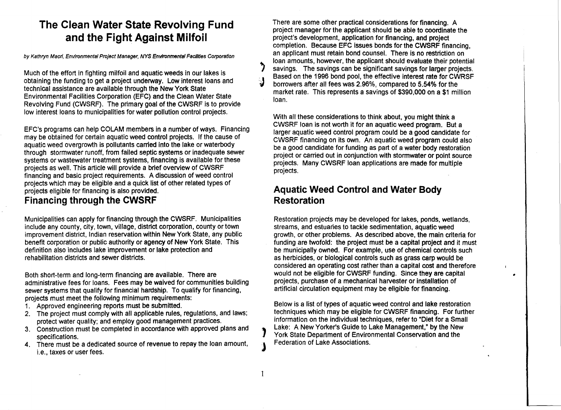# **The Clean Water State Revolving Fund and the Fight Against Milfoil**

by Kathryn Macri, Environmental Project Manager, NYS Environmental Facilities Corporation

Much of the effort in fighting milfoil and aquatic weeds in our lakes is obtaining the funding to get a project underway. Low interest loans and technical assistance are available through the New York State Environmental Facilities Corporation (EFC) and the Clean Water State Revolving Fund (CWSRF). The primary goal of the CWSRF is to provide low interest loans to municipalities for water pollution control projects.

EFC's programs can help COLAM members in a number of ways. Financing may be obtained for certain aquatic weed control projects. If the cause of aquatic weed overgrowth is pollutants carried into the lake or waterbody through stormwater runoff, from failed septic systems or inadequate sewer systems or wastewater treatment systems, financing is available for these projects as well. This article will provide a brief overview of CWSRF financing and basic project requirements. A discussion of weed control projects which may be eligible and a quick list of other related types of projects eligible for financing is also provided. **Financing through the CWSRF** 

Municipalities can apply for financing through the CWSRF. Municipalities include any county, city, town, village, district corporation, county or town improvement district, Indian reservation within New York State, any public benefit corporation or public authority or agency of New York State. This definition also includes lake improvement or lake protection and rehabilitation districts and sewer districts.

Both short-term and long-term financing are available. There are administrative fees for loans. Fees may be waived for communities building sewer systems that qualify for financial hardship. To qualify for financing, projects must meet the following minimum requirements:

- 1. Approved engineering reports must be submitted.
- 2. The project must comply with all applicable rules, regulations, and laws; protect water quality; and employ good management practices.
- 3. Construction must be completed in accordance with approved plans and specifications.
- 4. There must be a dedicated source of revenue to repay the loan amount, i.e., taxes or user fees.

There are some other practical considerations for financing. A project manager for the applicant should be able to coordinate the project's development, application for financing, and project completion. Because EFC issues bonds for the CWSRF financing, an applicant must retain bond counsel. There is no restriction on loan amounts, however, the applicant should evaluate their potential savings. The savings can be significant savings for larger projects. Based on the 1996 bond pool, the effective interest rate for CWRSF<br>
borrowers after all fees was 2.96%, compared to 5.54% for the market rate. This represents a savings of \$390,000 on a \$1 million loan.

With all these considerations to think about, you might think a CWSRF loan is not worth it for an aquatic weed program. But a larger aquatic weed control program could be a good candidate for CWSRF financing on its own. An aquatic weed program could also be a good candidate for funding as part of a water body restoration project or carried out in conjunction with stormwater or point source projects. Many CWSRF loan applications are made for multiple projects.

#### **Aquatic Weed Control and Water Body Restoration**

Restoration projects may be developed for lakes, ponds, wetlands, streams, and estuaries to tackle sedimentation, aquatic weed growth, or other problems. As described above, the main criteria for funding are twofold: the project must be a capital project and it must be municipally owned. For example, use of chemical controls such as herbicides, or biological controls such as grass carp would be considered an operating cost rather than a capital cost and therefore would not be eligible for CWSRF funding. Since they are capital projects, purchase of a mechanical harvester or installation of artificial circulation equipment may be eligible for financing.

•

Below is a list of types of aquatic weed control and lake restoration techniques which may be eligible for CWSRF financing. For further information on the individual techniques, refer to "Diet for a Small Lake: A New Yorker's Guide to Lake Management," by the New York State Department of Environmental Conservation and the Federation of Lake Associations.

)

1